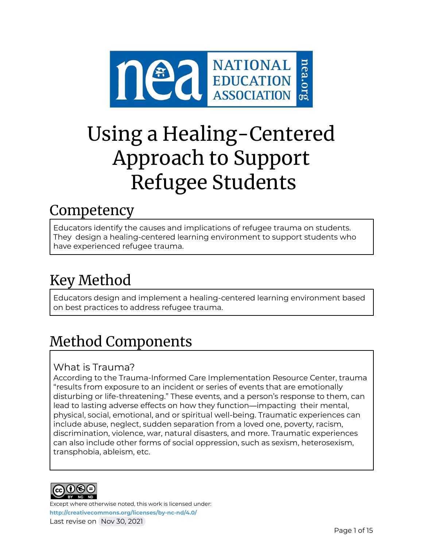

# Using a Healing-Centered Approach to Support Refugee Students

# **Competency**

Educators identify the causes and implications of refugee trauma on students. They design a healing-centered learning environment to support students who have experienced refugee trauma.

# Key Method

Educators design and implement a healing-centered learning environment based on best practices to address refugee trauma.

# Method Components

## What is Trauma?

According to the Trauma-Informed Care Implementation Resource Center, trauma "results from exposure to an incident or series of events that are emotionally disturbing or life-threatening." These events, and a person's response to them, can lead to lasting adverse effects on how they function—impacting their mental, physical, social, emotional, and or spiritual well-being. Traumatic experiences can include abuse, neglect, sudden separation from a loved one, poverty, racism, discrimination, violence, war, natural disasters, and more. Traumatic experiences can also include other forms of social oppression, such as sexism, heterosexism, transphobia, ableism, etc.

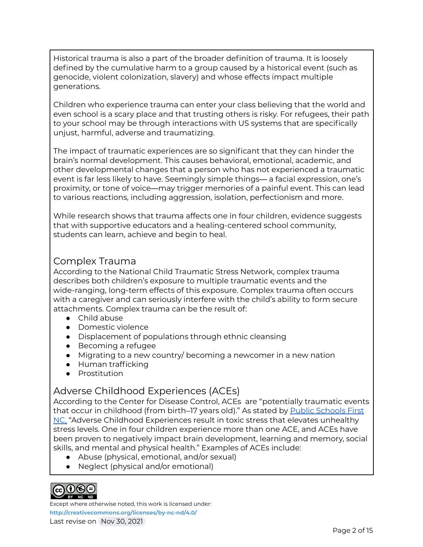Historical trauma is also a part of the broader definition of trauma. It is loosely defined by the cumulative harm to a group caused by a historical event (such as genocide, violent colonization, slavery) and whose effects impact multiple generations.

Children who experience trauma can enter your class believing that the world and even school is a scary place and that trusting others is risky. For refugees, their path to your school may be through interactions with US systems that are specifically unjust, harmful, adverse and traumatizing.

The impact of traumatic experiences are so significant that they can hinder the brain's normal development. This causes behavioral, emotional, academic, and other developmental changes that a person who has not experienced a traumatic event is far less likely to have. Seemingly simple things— a facial expression, one's proximity, or tone of voice—may trigger memories of a painful event. This can lead to various reactions, including aggression, isolation, perfectionism and more.

While research shows that trauma affects one in four children, evidence suggests that with supportive educators and a healing-centered school community, students can learn, achieve and begin to heal.

## Complex Trauma

According to the National Child Traumatic Stress Network, complex trauma describes both children's exposure to multiple traumatic events and the wide-ranging, long-term effects of this exposure. Complex trauma often occurs with a caregiver and can seriously interfere with the child's ability to form secure attachments. Complex trauma can be the result of:

- Child abuse
- Domestic violence
- Displacement of populations through ethnic cleansing
- Becoming a refugee
- Migrating to a new country/ becoming a newcomer in a new nation
- Human trafficking
- Prostitution

## Adverse Childhood Experiences (ACEs)

According to the Center for Disease Control, ACEs are "potentially traumatic events that occur in childhood (from birth–17 years old)." As stated by Public [Schools](https://www.publicschoolsfirstnc.org/about-psfnc/) First [NC,](https://www.publicschoolsfirstnc.org/about-psfnc/) "Adverse Childhood Experiences result in toxic stress that elevates unhealthy stress levels. One in four children experience more than one ACE, and ACEs have been proven to negatively impact brain development, learning and memory, social skills, and mental and physical health." Examples of ACEs include:

- Abuse (physical, emotional, and/or sexual)
- Neglect (physical and/or emotional)



Except where otherwise noted, this work is licensed under:

**<http://creativecommons.org/licenses/by-nc-nd/4.0/>** Last revise on Nov 30, 2021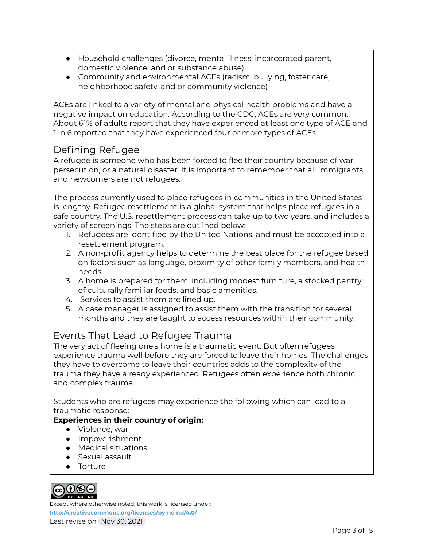- Household challenges (divorce, mental illness, incarcerated parent, domestic violence, and or substance abuse)
- Community and environmental ACEs (racism, bullying, foster care, neighborhood safety, and or community violence)

ACEs are linked to a variety of mental and physical health problems and have a negative impact on education. According to the CDC, ACEs are very common. About 61% of adults report that they have experienced at least one type of ACE and 1 in 6 reported that they have experienced four or more types of ACEs.

## Defining Refugee

A refugee is someone who has been forced to flee their country because of war, persecution, or a natural disaster. It is important to remember that all immigrants and newcomers are not refugees.

The process currently used to place refugees in communities in the United States is lengthy. Refugee resettlement is a global system that helps place refugees in a safe country. The U.S. resettlement process can take up to two years, and includes a variety of screenings. The steps are outlined below:

- 1. Refugees are identified by the United Nations, and must be accepted into a resettlement program.
- 2. A non-profit agency helps to determine the best place for the refugee based on factors such as language, proximity of other family members, and health needs.
- 3. A home is prepared for them, including modest furniture, a stocked pantry of culturally familiar foods, and basic amenities.
- 4. Services to assist them are lined up.
- 5. A case manager is assigned to assist them with the transition for several months and they are taught to access resources within their community.

## Events That Lead to Refugee Trauma

The very act of fleeing one's home is a traumatic event. But often refugees experience trauma well before they are forced to leave their homes. The challenges they have to overcome to leave their countries adds to the complexity of the trauma they have already experienced. Refugees often experience both chronic and complex trauma.

Students who are refugees may experience the following which can lead to a traumatic response:

#### **Experiences in their country of origin:**

- Violence, war
- Impoverishment
- Medical situations
- Sexual assault
- Torture



Except where otherwise noted, this work is licensed under:

**<http://creativecommons.org/licenses/by-nc-nd/4.0/>** Last revise on Nov 30, 2021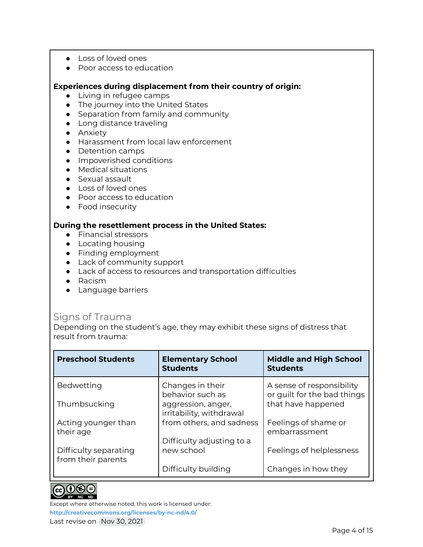- Loss of loved ones
- Poor access to education

#### **Experiences during displacement from their country of origin:**

- Living in refugee camps
- The journey into the United States
- Separation from family and community
- Long distance traveling
- **•** Anxiety
- Harassment from local law enforcement
- Detention camps
- Impoverished conditions
- Medical situations
- Sexual assault
- Loss of loved ones
- Poor access to education
- Food insecurity

#### **During the resettlement process in the United States:**

- Financial stressors
- Locating housing
- Finding employment
- Lack of community support
- Lack of access to resources and transportation difficulties
- Racism
- Language barriers

#### Signs of Trauma

Depending on the student's age, they may exhibit these signs of distress that result from trauma:

| <b>Preschool Students</b>                   | <b>Elementary School</b><br><b>Students</b>    | <b>Middle and High School</b><br><b>Students</b>         |
|---------------------------------------------|------------------------------------------------|----------------------------------------------------------|
| Bedwetting                                  | Changes in their<br>behavior such as           | A sense of responsibility<br>or guilt for the bad things |
| Thumbsucking                                | aggression, anger,<br>irritability, withdrawal | that have happened                                       |
| Acting younger than<br>their age            | from others, and sadness                       | Feelings of shame or<br>embarrassment                    |
| Difficulty separating<br>from their parents | Difficulty adjusting to a<br>new school        | Feelings of helplessness                                 |
|                                             | Difficulty building                            | Changes in how they                                      |



Except where otherwise noted, this work is licensed under: **<http://creativecommons.org/licenses/by-nc-nd/4.0/>**

Last revise on Nov 30, 2021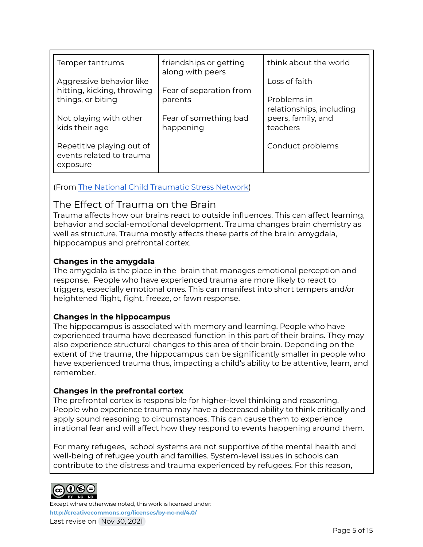| Temper tantrums                                                   | friendships or getting<br>along with peers | think about the world                   |
|-------------------------------------------------------------------|--------------------------------------------|-----------------------------------------|
| Aggressive behavior like<br>hitting, kicking, throwing            | Fear of separation from                    | Loss of faith                           |
| things, or biting                                                 | parents                                    | Problems in<br>relationships, including |
| Not playing with other<br>kids their age                          | Fear of something bad<br>happening         | peers, family, and<br>teachers          |
| Repetitive playing out of<br>events related to trauma<br>exposure |                                            | Conduct problems                        |

(From The National Child [Traumatic](https://www.nctsn.org/what-is-child-trauma/trauma-types/refugee-trauma/about-refugees) Stress Network)

## The Effect of Trauma on the Brain

Trauma affects how our brains react to outside influences. This can affect learning, behavior and social-emotional development. Trauma changes brain chemistry as well as structure. Trauma mostly affects these parts of the brain: amygdala, hippocampus and prefrontal cortex.

#### **Changes in the amygdala**

The amygdala is the place in the brain that manages emotional perception and response. People who have experienced trauma are more likely to react to triggers, especially emotional ones. This can manifest into short tempers and/or heightened flight, fight, freeze, or fawn response.

#### **Changes in the hippocampus**

The hippocampus is associated with memory and learning. People who have experienced trauma have decreased function in this part of their brains. They may also experience structural changes to this area of their brain. Depending on the extent of the trauma, the hippocampus can be significantly smaller in people who have experienced trauma thus, impacting a child's ability to be attentive, learn, and remember.

#### **Changes in the prefrontal cortex**

The prefrontal cortex is responsible for higher-level thinking and reasoning. People who experience trauma may have a decreased ability to think critically and apply sound reasoning to circumstances. This can cause them to experience irrational fear and will affect how they respond to events happening around them.

For many refugees, school systems are not supportive of the mental health and well-being of refugee youth and families. System-level issues in schools can contribute to the distress and trauma experienced by refugees. For this reason,

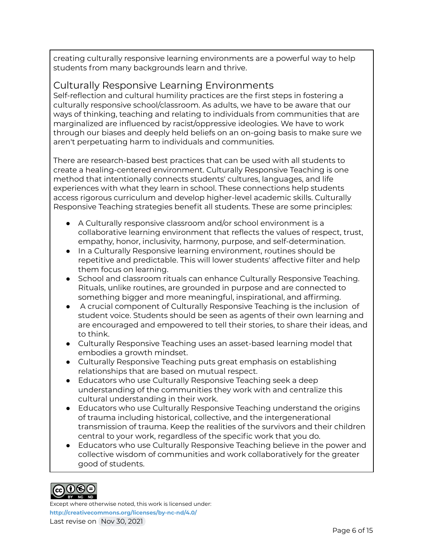creating culturally responsive learning environments are a powerful way to help students from many backgrounds learn and thrive.

## Culturally Responsive Learning Environments

Self-reflection and cultural humility practices are the first steps in fostering a culturally responsive school/classroom. As adults, we have to be aware that our ways of thinking, teaching and relating to individuals from communities that are marginalized are influenced by racist/oppressive ideologies. We have to work through our biases and deeply held beliefs on an on-going basis to make sure we aren't perpetuating harm to individuals and communities.

There are research-based best practices that can be used with all students to create a healing-centered environment. Culturally Responsive Teaching is one method that intentionally connects students' cultures, languages, and life experiences with what they learn in school. These connections help students access rigorous curriculum and develop higher-level academic skills. Culturally Responsive Teaching strategies benefit all students. These are some principles:

- A Culturally responsive classroom and/or school environment is a collaborative learning environment that reflects the values of respect, trust, empathy, honor, inclusivity, harmony, purpose, and self-determination.
- In a Culturally Responsive learning environment, routines should be repetitive and predictable. This will lower students' affective filter and help them focus on learning.
- School and classroom rituals can enhance Culturally Responsive Teaching. Rituals, unlike routines, are grounded in purpose and are connected to something bigger and more meaningful, inspirational, and affirming.
- A crucial component of Culturally Responsive Teaching is the inclusion of student voice. Students should be seen as agents of their own learning and are encouraged and empowered to tell their stories, to share their ideas, and to think.
- Culturally Responsive Teaching uses an asset-based learning model that embodies a growth mindset.
- Culturally Responsive Teaching puts great emphasis on establishing relationships that are based on mutual respect.
- Educators who use Culturally Responsive Teaching seek a deep understanding of the communities they work with and centralize this cultural understanding in their work.
- Educators who use Culturally Responsive Teaching understand the origins of trauma including historical, collective, and the intergenerational transmission of trauma. Keep the realities of the survivors and their children central to your work, regardless of the specific work that you do.
- Educators who use Culturally Responsive Teaching believe in the power and collective wisdom of communities and work collaboratively for the greater good of students.

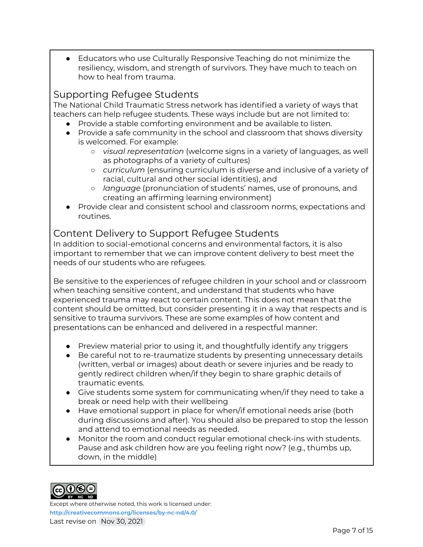Educators who use Culturally Responsive Teaching do not minimize the resiliency, wisdom, and strength of survivors. They have much to teach on how to heal from trauma.

## Supporting Refugee Students

The National Child Traumatic Stress network has identified a variety of ways that teachers can help refugee students. These ways include but are not limited to:

- Provide a stable comforting environment and be available to listen.
- Provide a safe community in the school and classroom that shows diversity is welcomed. For example:
	- *visual representation* (welcome signs in a variety of languages, as well as photographs of a variety of cultures)
	- *curriculum* (ensuring curriculum is diverse and inclusive of a variety of racial, cultural and other social identities), and
	- *language* (pronunciation of students' names, use of pronouns, and creating an affirming learning environment)
- Provide clear and consistent school and classroom norms, expectations and routines.

## Content Delivery to Support Refugee Students

In addition to social-emotional concerns and environmental factors, it is also important to remember that we can improve content delivery to best meet the needs of our students who are refugees.

Be sensitive to the experiences of refugee children in your school and or classroom when teaching sensitive content, and understand that students who have experienced trauma may react to certain content. This does not mean that the content should be omitted, but consider presenting it in a way that respects and is sensitive to trauma survivors. These are some examples of how content and presentations can be enhanced and delivered in a respectful manner:

- Preview material prior to using it, and thoughtfully identify any triggers
- Be careful not to re-traumatize students by presenting unnecessary details (written, verbal or images) about death or severe injuries and be ready to gently redirect children when/if they begin to share graphic details of traumatic events.
- Give students some system for communicating when/if they need to take a break or need help with their wellbeing
- Have emotional support in place for when/if emotional needs arise (both during discussions and after). You should also be prepared to stop the lesson and attend to emotional needs as needed.
- Monitor the room and conduct regular emotional check-ins with students. Pause and ask children how are you feeling right now? (e.g., thumbs up, down, in the middle)

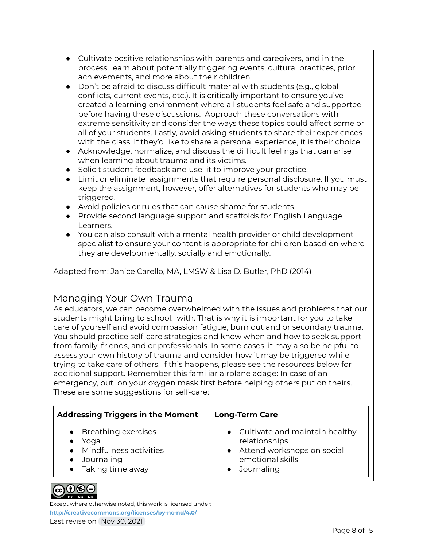- Cultivate positive relationships with parents and caregivers, and in the process, learn about potentially triggering events, cultural practices, prior achievements, and more about their children.
- Don't be afraid to discuss difficult material with students (e.g., global conflicts, current events, etc.). It is critically important to ensure you've created a learning environment where all students feel safe and supported before having these discussions. Approach these conversations with extreme sensitivity and consider the ways these topics could affect some or all of your students. Lastly, avoid asking students to share their experiences with the class. If they'd like to share a personal experience, it is their choice.
- Acknowledge, normalize, and discuss the difficult feelings that can arise when learning about trauma and its victims.
- Solicit student feedback and use it to improve your practice.
- Limit or eliminate assignments that require personal disclosure. If you must keep the assignment, however, offer alternatives for students who may be triggered.
- Avoid policies or rules that can cause shame for students.
- Provide second language support and scaffolds for English Language Learners.
- You can also consult with a mental health provider or child development specialist to ensure your content is appropriate for children based on where they are developmentally, socially and emotionally.

Adapted from: Janice Carello, MA, LMSW & Lisa D. Butler, PhD (2014)

## Managing Your Own Trauma

As educators, we can become overwhelmed with the issues and problems that our students might bring to school. with. That is why it is important for you to take care of yourself and avoid compassion fatigue, burn out and or secondary trauma. You should practice self-care strategies and know when and how to seek support from family, friends, and or professionals. In some cases, it may also be helpful to assess your own history of trauma and consider how it may be triggered while trying to take care of others. If this happens, please see the resources below for additional support. Remember this familiar airplane adage: In case of an emergency, put on your oxygen mask first before helping others put on theirs. These are some suggestions for self-care:

| <b>Addressing Triggers in the Moment</b>                                                                   | <b>Long-Term Care</b>                                                                                               |
|------------------------------------------------------------------------------------------------------------|---------------------------------------------------------------------------------------------------------------------|
| • Breathing exercises<br>Yoga<br>• Mindfulness activities<br>Journaling<br>$\bullet$<br>• Taking time away | • Cultivate and maintain healthy<br>relationships<br>• Attend workshops on social<br>emotional skills<br>Journaling |

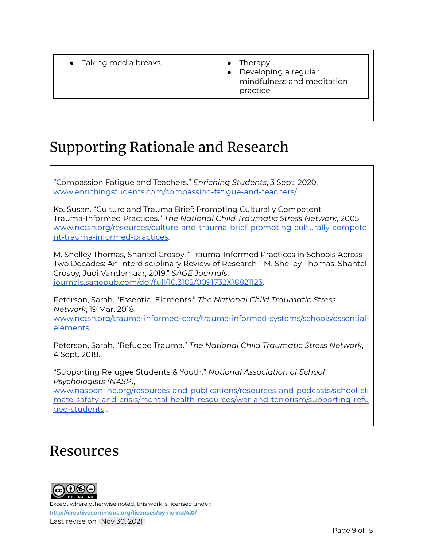- Taking media breaks **and the Therapy** 
	-
	- Developing a regular mindfulness and meditation practice

# Supporting Rationale and Research

"Compassion Fatigue and Teachers." *Enriching Students*, 3 Sept. 2020, [www.enrichingstudents.com/compassion-fatigue-and-teachers/.](http://www.enrichingstudents.com/compassion-fatigue-and-teachers/)

Ko, Susan. "Culture and Trauma Brief: Promoting Culturally Competent Trauma-Informed Practices." *The National Child Traumatic Stress Network*, 2005, [www.nctsn.org/resources/culture-and-trauma-brief-promoting-culturally-compete](http://www.nctsn.org/resources/culture-and-trauma-brief-promoting-culturally-competent-trauma-informed-practices) [nt-trauma-informed-practices.](http://www.nctsn.org/resources/culture-and-trauma-brief-promoting-culturally-competent-trauma-informed-practices)

M. Shelley Thomas, Shantel Crosby. "Trauma-Informed Practices in Schools Across Two Decades: An Interdisciplinary Review of Research - M. Shelley Thomas, Shantel Crosby, Judi Vanderhaar, 2019." *SAGE Journals*, [journals.sagepub.com/doi/full/10.3102/0091732X18821123](https://journals.sagepub.com/doi/full/10.3102/0091732X18821123).

Peterson, Sarah. "Essential Elements." *The National Child Traumatic Stress Network*, 19 Mar. 2018, [www.nctsn.org/trauma-informed-care/trauma-informed-systems/schools/essential](http://www.nctsn.org/trauma-informed-care/trauma-informed-systems/schools/essential-elements)[elements](http://www.nctsn.org/trauma-informed-care/trauma-informed-systems/schools/essential-elements) .

Peterson, Sarah. "Refugee Trauma." *The National Child Traumatic Stress Network*, 4 Sept. 2018.

"Supporting Refugee Students & Youth." *National Association of School Psychologists (NASP)*,

[www.nasponline.org/resources-and-publications/resources-and-podcasts/school-cli](http://www.nasponline.org/resources-and-publications/resources-and-podcasts/school-climate-safety-and-crisis/mental-health-resources/war-and-terrorism/supporting-refugee-students) [mate-safety-and-crisis/mental-health-resources/war-and-terrorism/supporting-refu](http://www.nasponline.org/resources-and-publications/resources-and-podcasts/school-climate-safety-and-crisis/mental-health-resources/war-and-terrorism/supporting-refugee-students) [gee-students](http://www.nasponline.org/resources-and-publications/resources-and-podcasts/school-climate-safety-and-crisis/mental-health-resources/war-and-terrorism/supporting-refugee-students) .

## Resources

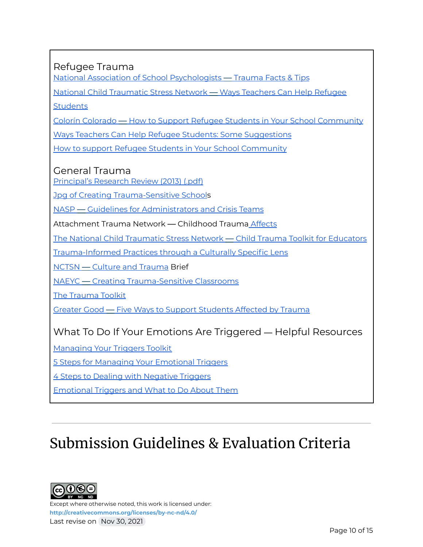## Refugee Trauma

National Association of School [Psychologists](https://www.nasponline.org/resources-and-publications/resources-and-podcasts/school-climate-safety-and-crisis/mental-health-resources/trauma) — Trauma Facts & Tips

National Child [Traumatic](https://depts.washington.edu/uwhatc/PDF/TF-%20CBT/pages/3%20Psychoeducation/Ways%20Teachers%20Can%20Help%20Refugee%20Students.pdf) Stress Network — Ways Teachers Can Help Refugee

**[Students](https://depts.washington.edu/uwhatc/PDF/TF-%20CBT/pages/3%20Psychoeducation/Ways%20Teachers%20Can%20Help%20Refugee%20Students.pdf)** 

Colorín Colorado — How to Support Refugee Students in Your School [Community](https://www.colorincolorado.org/article/how-support-refugee-students-ell-classroom)

Ways Teachers Can Help Refugee Students: Some [Suggestions](https://depts.washington.edu/uwhatc/PDF/TF-%20CBT/pages/3%20Psychoeducation/Ways%20Teachers%20Can%20Help%20Refugee%20Students.pdf)

How to support Refugee Students in Your School [Community](https://www.colorincolorado.org/article/how-support-refugee-students-ell-classroom)

#### General Trauma

[Principal's](https://drive.google.com/file/d/1J2q4Adw5oOptrWbeCCwLMs_1SJMo8pVb/view?usp=sharing) Research Review (2013) (.pdf)

Jpg of Creating [Trauma-Sensitive](https://drive.google.com/file/d/14vB3m5k8cxzvM-W2E53sMI7_AXRpxAgQ/view?usp=sharing) Schools

NASP — Guidelines for [Administrators](https://www.nasponline.org/resources-and-publications/resources-and-podcasts/school-climate-safety-and-crisis/mental-health-resources/trauma/preventing-childhood-trauma-guidelines-for-administrators-and-crisis-teams) and Crisis Teams

Attachment Trauma Network — Childhood Trauma [Affects](https://www.attachmenttraumanetwork.org/wp-content/uploads/TSS-infographic-updated-8-2016-web.pdf)

The National Child [Traumatic](https://traumaawareschools.org/resources-materials/3162/Child_Trauma_Toolkit_Final.pdf?1385464214) Stress Network — Child Trauma Toolkit for Educators

[Trauma-Informed](https://nationallatinonetwork.org/images/Trauma-Informed-Principles-through-a-Culturally-Specific-Lens_FINAL.pdf) Practices through a Culturally Specific Lens

NCTSN — Culture and [Trauma](https://www.nctsn.org/resources/culture-and-trauma-brief-promoting-culturally-competent-trauma-informed-practices) Brief

NAEYC — Creating [Trauma-Sensitive](https://www.naeyc.org/resources/pubs/yc/may2015/trauma-sensitive-classrooms) Classrooms

The [Trauma](http://bit.ly/TraumaToolkit) Toolkit

Greater Good — Five Ways to Support [Students](https://greatergood.berkeley.edu/article/item/five_ways_to_support_students_affected_by_trauma) Affected by Trauma

## What To Do If Your Emotions Are Triggered — Helpful Resources

[Managing](https://mediatorsbeyondborders.org/wp-content/uploads/2020/01/managing-your-triggers-toolkit.pdf) Your Triggers Toolkit

5 Steps for Managing Your [Emotional](https://www.psychologytoday.com/us/blog/wander-woman/201507/5-steps-managing-your-emotional-triggers) Triggers

**4 Steps to Dealing with [Negative](https://bigvoicesrise.com/triggers/) Triggers** 

[Emotional](https://sourcesofinsight.com/emotional-triggers-and-what-to-do-about-them/) Triggers and What to Do About Them

# Submission Guidelines & Evaluation Criteria

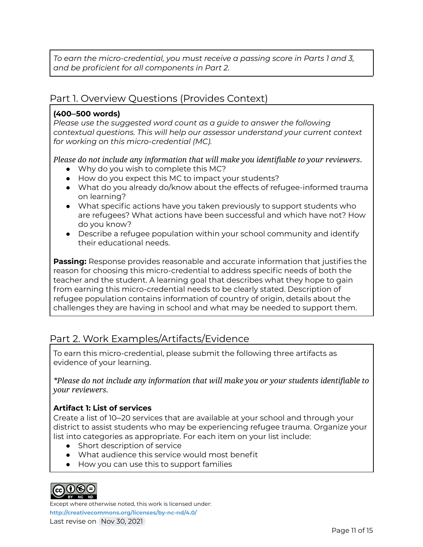*To earn the micro-credential, you must receive a passing score in Parts 1 and 3, and be proficient for all components in Part 2.*

## Part 1. Overview Questions (Provides Context)

#### **(400–500 words)**

*Please use the suggested word count as a guide to answer the following contextual questions. This will help our assessor understand your current context for working on this micro-credential (MC).*

*Please do not include any information that will make you identifiable to your reviewers*.

- Why do you wish to complete this MC?
- How do you expect this MC to impact your students?
- What do you already do/know about the effects of refugee-informed trauma on learning?
- What specific actions have you taken previously to support students who are refugees? What actions have been successful and which have not? How do you know?
- Describe a refugee population within your school community and identify their educational needs.

**Passing:** Response provides reasonable and accurate information that justifies the reason for choosing this micro-credential to address specific needs of both the teacher and the student. A learning goal that describes what they hope to gain from earning this micro-credential needs to be clearly stated. Description of refugee population contains information of country of origin, details about the challenges they are having in school and what may be needed to support them.

## Part 2. Work Examples/Artifacts/Evidence

To earn this micro-credential, please submit the following three artifacts as evidence of your learning.

*\*Please do not include any information that will make you or your students identifiable to your reviewers.*

#### **Artifact 1: List of services**

Create a list of 10–20 services that are available at your school and through your district to assist students who may be experiencing refugee trauma. Organize your list into categories as appropriate. For each item on your list include:

- Short description of service
- What audience this service would most benefit
- How you can use this to support families



Except where otherwise noted, this work is licensed under:

**<http://creativecommons.org/licenses/by-nc-nd/4.0/>** Last revise on Nov 30, 2021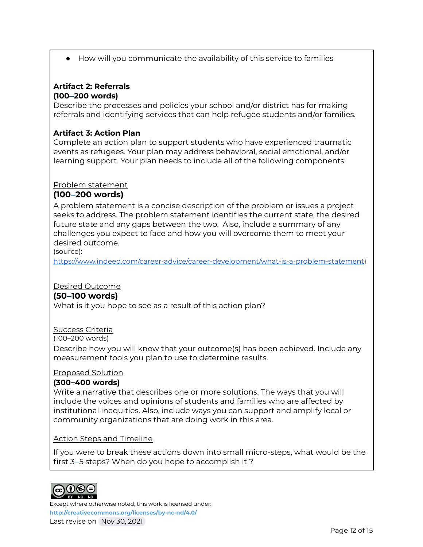● How will you communicate the availability of this service to families

#### **Artifact 2: Referrals (100–200 words)**

Describe the processes and policies your school and/or district has for making referrals and identifying services that can help refugee students and/or families.

#### **Artifact 3: Action Plan**

Complete an action plan to support students who have experienced traumatic events as refugees. Your plan may address behavioral, social emotional, and/or learning support. Your plan needs to include all of the following components:

#### Problem statement

#### **(100–200 words)**

A problem statement is a concise description of the problem or issues a project seeks to address. The problem statement identifies the current state, the desired future state and any gaps between the two. Also, include a summary of any challenges you expect to face and how you will overcome them to meet your desired outcome.

(source):

<https://www.indeed.com/career-advice/career-development/what-is-a-problem-statement>)

#### Desired Outcome

#### **(50–100 words)**

What is it you hope to see as a result of this action plan?

#### Success Criteria

(100–200 words)

Describe how you will know that your outcome(s) has been achieved. Include any measurement tools you plan to use to determine results.

#### Proposed Solution

#### **(300–400 words)**

Write a narrative that describes one or more solutions. The ways that you will include the voices and opinions of students and families who are affected by institutional inequities. Also, include ways you can support and amplify local or community organizations that are doing work in this area.

#### Action Steps and Timeline

If you were to break these actions down into small micro-steps, what would be the first 3–5 steps? When do you hope to accomplish it ?

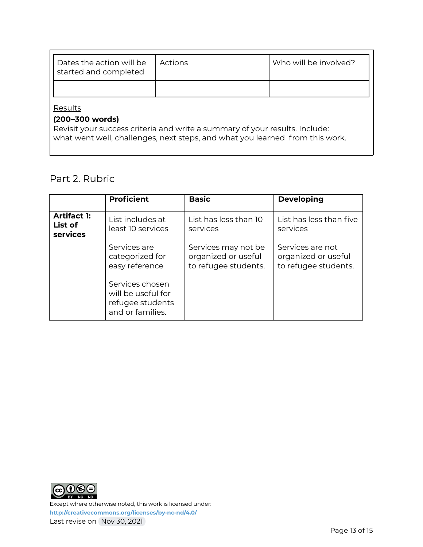| Dates the action will be<br>started and completed | Actions | Who will be involved? |
|---------------------------------------------------|---------|-----------------------|
|                                                   |         |                       |
| Results                                           |         |                       |

#### **(200–300 words)**

Revisit your success criteria and write a summary of your results. Include: what went well, challenges, next steps, and what you learned from this work.

## Part 2. Rubric

|                                           | <b>Proficient</b>                                                             | <b>Basic</b>                                                       | <b>Developing</b>                                               |
|-------------------------------------------|-------------------------------------------------------------------------------|--------------------------------------------------------------------|-----------------------------------------------------------------|
| <b>Artifact 1:</b><br>List of<br>services | List includes at<br>least 10 services                                         | List has less than 10<br>services                                  | List has less than five<br>services                             |
|                                           | Services are<br>categorized for<br>easy reference                             | Services may not be<br>organized or useful<br>to refugee students. | Services are not<br>organized or useful<br>to refugee students. |
|                                           | Services chosen<br>will be useful for<br>refugee students<br>and or families. |                                                                    |                                                                 |

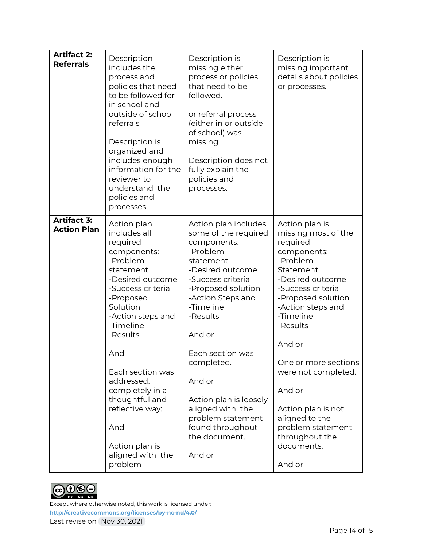| <b>Artifact 2:</b><br><b>Referrals</b>   | Description<br>includes the<br>process and<br>policies that need<br>to be followed for<br>in school and<br>outside of school<br>referrals<br>Description is<br>organized and<br>includes enough<br>information for the<br>reviewer to<br>understand the<br>policies and<br>processes.                                                                    | Description is<br>missing either<br>process or policies<br>that need to be<br>followed.<br>or referral process<br>(either in or outside<br>of school) was<br>missing<br>Description does not<br>fully explain the<br>policies and<br>processes.                                                                                                                           | Description is<br>missing important<br>details about policies<br>or processes.                                                                                                                                                                                                                                                                                                   |
|------------------------------------------|----------------------------------------------------------------------------------------------------------------------------------------------------------------------------------------------------------------------------------------------------------------------------------------------------------------------------------------------------------|---------------------------------------------------------------------------------------------------------------------------------------------------------------------------------------------------------------------------------------------------------------------------------------------------------------------------------------------------------------------------|----------------------------------------------------------------------------------------------------------------------------------------------------------------------------------------------------------------------------------------------------------------------------------------------------------------------------------------------------------------------------------|
| <b>Artifact 3:</b><br><b>Action Plan</b> | Action plan<br>includes all<br>required<br>components:<br>-Problem<br>statement<br>-Desired outcome<br>-Success criteria<br>-Proposed<br>Solution<br>-Action steps and<br>-Timeline<br>-Results<br>And<br>Each section was<br>addressed.<br>completely in a<br>thoughtful and<br>reflective way:<br>And<br>Action plan is<br>aligned with the<br>problem | Action plan includes<br>some of the required<br>components:<br>-Problem<br>statement<br>-Desired outcome<br>-Success criteria<br>-Proposed solution<br>-Action Steps and<br>-Timeline<br>-Results<br>And or<br>Each section was<br>completed.<br>And or<br>Action plan is loosely<br>aligned with the<br>problem statement<br>found throughout<br>the document.<br>And or | Action plan is<br>missing most of the<br>required<br>components:<br>-Problem<br>Statement<br>-Desired outcome<br>-Success criteria<br>-Proposed solution<br>-Action steps and<br>-Timeline<br>-Results<br>And or<br>One or more sections<br>were not completed.<br>And or<br>Action plan is not<br>aligned to the<br>problem statement<br>throughout the<br>documents.<br>And or |